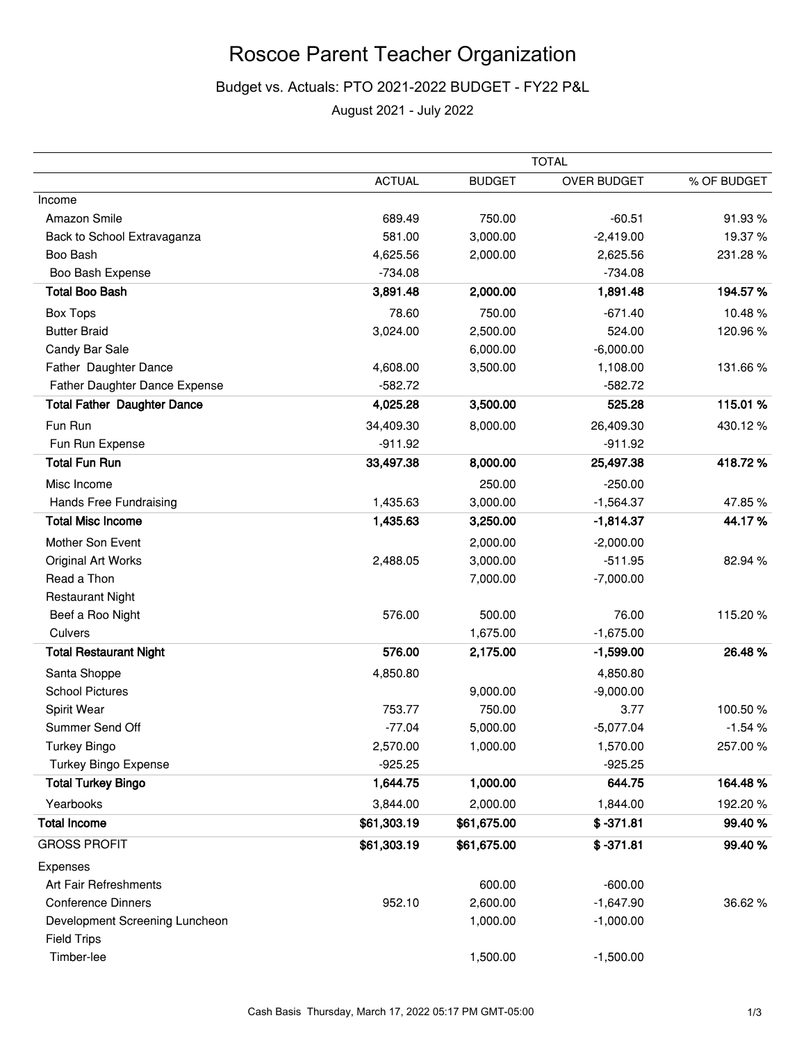# Roscoe Parent Teacher Organization

## Budget vs. Actuals: PTO 2021-2022 BUDGET - FY22 P&L

August 2021 - July 2022

|                                    |               | <b>TOTAL</b>  |                    |             |  |
|------------------------------------|---------------|---------------|--------------------|-------------|--|
|                                    | <b>ACTUAL</b> | <b>BUDGET</b> | <b>OVER BUDGET</b> | % OF BUDGET |  |
| Income                             |               |               |                    |             |  |
| Amazon Smile                       | 689.49        | 750.00        | $-60.51$           | 91.93%      |  |
| Back to School Extravaganza        | 581.00        | 3,000.00      | $-2,419.00$        | 19.37%      |  |
| Boo Bash                           | 4,625.56      | 2,000.00      | 2,625.56           | 231.28%     |  |
| Boo Bash Expense                   | $-734.08$     |               | $-734.08$          |             |  |
| <b>Total Boo Bash</b>              | 3,891.48      | 2,000.00      | 1,891.48           | 194.57%     |  |
| <b>Box Tops</b>                    | 78.60         | 750.00        | $-671.40$          | 10.48%      |  |
| <b>Butter Braid</b>                | 3,024.00      | 2,500.00      | 524.00             | 120.96%     |  |
| Candy Bar Sale                     |               | 6,000.00      | $-6,000.00$        |             |  |
| Father Daughter Dance              | 4,608.00      | 3,500.00      | 1,108.00           | 131.66%     |  |
| Father Daughter Dance Expense      | $-582.72$     |               | $-582.72$          |             |  |
| <b>Total Father Daughter Dance</b> | 4,025.28      | 3,500.00      | 525.28             | 115.01%     |  |
| Fun Run                            | 34,409.30     | 8,000.00      | 26,409.30          | 430.12%     |  |
| Fun Run Expense                    | $-911.92$     |               | $-911.92$          |             |  |
| <b>Total Fun Run</b>               | 33,497.38     | 8,000.00      | 25,497.38          | 418.72%     |  |
| Misc Income                        |               | 250.00        | $-250.00$          |             |  |
| Hands Free Fundraising             | 1,435.63      | 3,000.00      | $-1,564.37$        | 47.85%      |  |
| <b>Total Misc Income</b>           | 1,435.63      | 3,250.00      | $-1,814.37$        | 44.17%      |  |
| Mother Son Event                   |               | 2,000.00      | $-2,000.00$        |             |  |
| Original Art Works                 | 2,488.05      | 3,000.00      | $-511.95$          | 82.94 %     |  |
| Read a Thon                        |               | 7,000.00      | $-7,000.00$        |             |  |
| <b>Restaurant Night</b>            |               |               |                    |             |  |
| Beef a Roo Night                   | 576.00        | 500.00        | 76.00              | 115.20%     |  |
| Culvers                            |               | 1,675.00      | $-1,675.00$        |             |  |
| <b>Total Restaurant Night</b>      | 576.00        | 2,175.00      | $-1,599.00$        | 26.48%      |  |
| Santa Shoppe                       | 4,850.80      |               | 4,850.80           |             |  |
| <b>School Pictures</b>             |               | 9,000.00      | $-9,000.00$        |             |  |
| Spirit Wear                        | 753.77        | 750.00        | 3.77               | 100.50%     |  |
| Summer Send Off                    | $-77.04$      | 5,000.00      | $-5,077.04$        | $-1.54%$    |  |
| <b>Turkey Bingo</b>                | 2,570.00      | 1,000.00      | 1,570.00           | 257.00%     |  |
| <b>Turkey Bingo Expense</b>        | $-925.25$     |               | $-925.25$          |             |  |
| <b>Total Turkey Bingo</b>          | 1,644.75      | 1,000.00      | 644.75             | 164.48%     |  |
| Yearbooks                          | 3,844.00      | 2,000.00      | 1,844.00           | 192.20%     |  |
| <b>Total Income</b>                | \$61,303.19   | \$61,675.00   | $$ -371.81$        | 99.40%      |  |
| <b>GROSS PROFIT</b>                | \$61,303.19   | \$61,675.00   | $$ -371.81$        | 99.40 %     |  |
| Expenses                           |               |               |                    |             |  |
| Art Fair Refreshments              |               | 600.00        | $-600.00$          |             |  |
| <b>Conference Dinners</b>          | 952.10        | 2,600.00      | $-1,647.90$        | 36.62%      |  |
| Development Screening Luncheon     |               | 1,000.00      | $-1,000.00$        |             |  |
| <b>Field Trips</b>                 |               |               |                    |             |  |
| Timber-lee                         |               | 1,500.00      | $-1,500.00$        |             |  |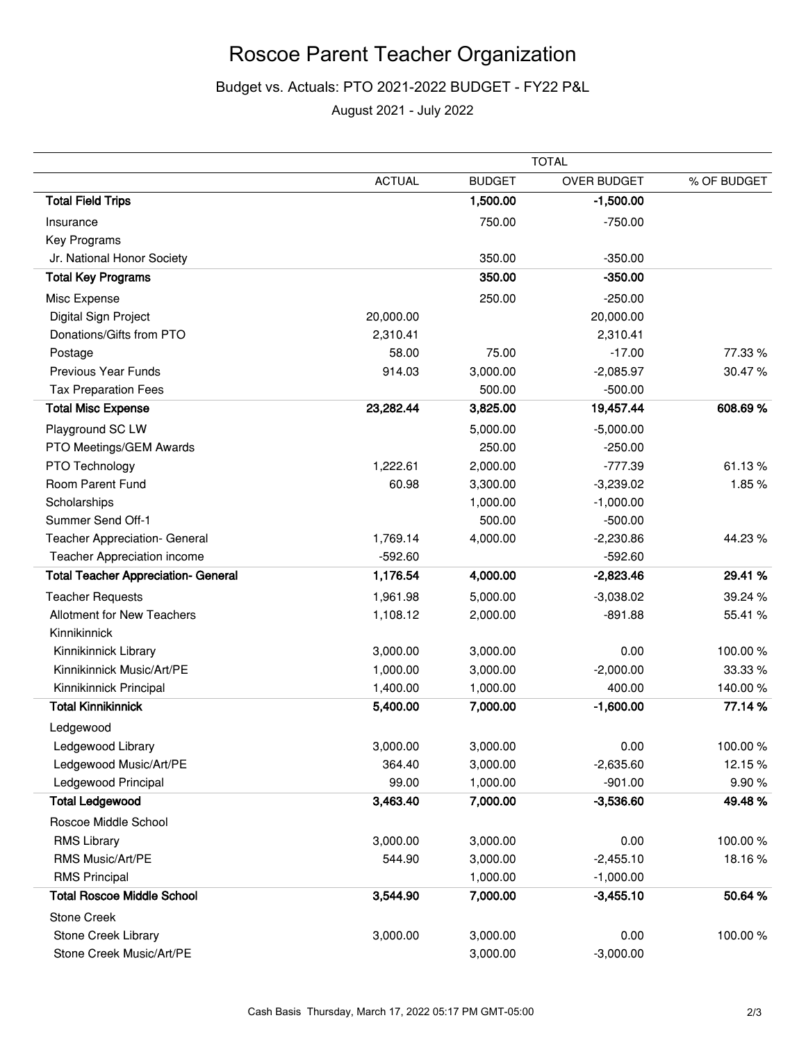# Roscoe Parent Teacher Organization

## Budget vs. Actuals: PTO 2021-2022 BUDGET - FY22 P&L

August 2021 - July 2022

|                                            | <b>TOTAL</b>  |               |                    |             |
|--------------------------------------------|---------------|---------------|--------------------|-------------|
|                                            | <b>ACTUAL</b> | <b>BUDGET</b> | <b>OVER BUDGET</b> | % OF BUDGET |
| <b>Total Field Trips</b>                   |               | 1,500.00      | $-1,500.00$        |             |
| Insurance                                  |               | 750.00        | $-750.00$          |             |
| Key Programs                               |               |               |                    |             |
| Jr. National Honor Society                 |               | 350.00        | $-350.00$          |             |
| <b>Total Key Programs</b>                  |               | 350.00        | $-350.00$          |             |
| Misc Expense                               |               | 250.00        | $-250.00$          |             |
| Digital Sign Project                       | 20,000.00     |               | 20,000.00          |             |
| Donations/Gifts from PTO                   | 2,310.41      |               | 2,310.41           |             |
| Postage                                    | 58.00         | 75.00         | $-17.00$           | 77.33 %     |
| <b>Previous Year Funds</b>                 | 914.03        | 3,000.00      | $-2,085.97$        | 30.47%      |
| <b>Tax Preparation Fees</b>                |               | 500.00        | $-500.00$          |             |
| <b>Total Misc Expense</b>                  | 23,282.44     | 3,825.00      | 19,457.44          | 608.69%     |
| Playground SC LW                           |               | 5,000.00      | $-5,000.00$        |             |
| PTO Meetings/GEM Awards                    |               | 250.00        | $-250.00$          |             |
| PTO Technology                             | 1,222.61      | 2,000.00      | $-777.39$          | 61.13%      |
| Room Parent Fund                           | 60.98         | 3,300.00      | $-3,239.02$        | 1.85%       |
| Scholarships                               |               | 1,000.00      | $-1,000.00$        |             |
| Summer Send Off-1                          |               | 500.00        | $-500.00$          |             |
| Teacher Appreciation- General              | 1,769.14      | 4,000.00      | $-2,230.86$        | 44.23%      |
| Teacher Appreciation income                | $-592.60$     |               | $-592.60$          |             |
| <b>Total Teacher Appreciation- General</b> | 1,176.54      | 4,000.00      | $-2,823.46$        | 29.41 %     |
| <b>Teacher Requests</b>                    | 1,961.98      | 5,000.00      | $-3,038.02$        | 39.24 %     |
| <b>Allotment for New Teachers</b>          | 1,108.12      | 2,000.00      | $-891.88$          | 55.41 %     |
| Kinnikinnick                               |               |               |                    |             |
| Kinnikinnick Library                       | 3,000.00      | 3,000.00      | 0.00               | 100.00%     |
| Kinnikinnick Music/Art/PE                  | 1,000.00      | 3,000.00      | $-2,000.00$        | 33.33 %     |
| Kinnikinnick Principal                     | 1,400.00      | 1,000.00      | 400.00             | 140.00%     |
| <b>Total Kinnikinnick</b>                  | 5,400.00      | 7,000.00      | $-1,600.00$        | 77.14 %     |
| Ledgewood                                  |               |               |                    |             |
| Ledgewood Library                          | 3,000.00      | 3,000.00      | 0.00               | 100.00%     |
| Ledgewood Music/Art/PE                     | 364.40        | 3,000.00      | $-2,635.60$        | 12.15%      |
| Ledgewood Principal                        | 99.00         | 1,000.00      | $-901.00$          | 9.90%       |
| <b>Total Ledgewood</b>                     | 3,463.40      | 7,000.00      | $-3,536.60$        | 49.48%      |
| Roscoe Middle School                       |               |               |                    |             |
| <b>RMS Library</b>                         | 3,000.00      | 3,000.00      | 0.00               | 100.00%     |
| RMS Music/Art/PE                           | 544.90        | 3,000.00      | $-2,455.10$        | 18.16%      |
| <b>RMS Principal</b>                       |               | 1,000.00      | $-1,000.00$        |             |
| <b>Total Roscoe Middle School</b>          | 3,544.90      | 7,000.00      | $-3,455.10$        | 50.64%      |
| Stone Creek                                |               |               |                    |             |
| Stone Creek Library                        | 3,000.00      | 3,000.00      | 0.00               | 100.00%     |
| Stone Creek Music/Art/PE                   |               | 3,000.00      | $-3,000.00$        |             |